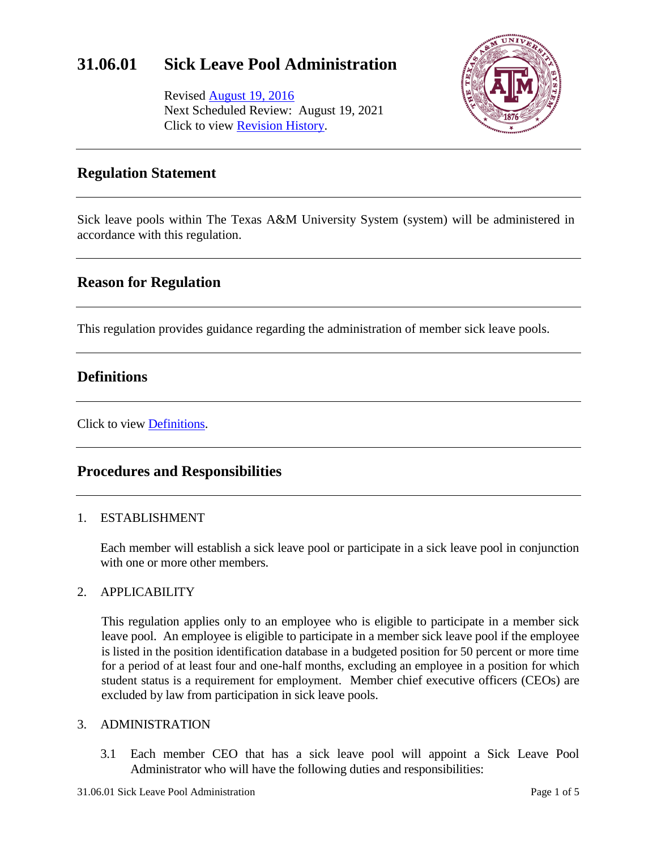## **31.06.01 Sick Leave Pool Administration**

Revised [August 19, 2016](http://assets.system.tamus.edu/files/policy/pdf/annotated/31-06-01/31-06-01-ANN-160611.pdf) Next Scheduled Review: August 19, 2021 Click to view [Revision History.](http://assets.system.tamus.edu/files/policy/pdf/REVISIONS/31-06-01-Versions.pdf)



## **Regulation Statement**

Sick leave pools within The Texas A&M University System (system) will be administered in accordance with this regulation.

## **Reason for Regulation**

This regulation provides guidance regarding the administration of member sick leave pools.

## **Definitions**

Click to view [Definitions.](http://assets.system.tamus.edu/files/policy/pdf/definitions/31-06-01-Definitions.pdf)

## **Procedures and Responsibilities**

#### 1. ESTABLISHMENT

Each member will establish a sick leave pool or participate in a sick leave pool in conjunction with one or more other members.

#### 2. APPLICABILITY

This regulation applies only to an employee who is eligible to participate in a member sick leave pool. An employee is eligible to participate in a member sick leave pool if the employee is listed in the position identification database in a budgeted position for 50 percent or more time for a period of at least four and one-half months, excluding an employee in a position for which student status is a requirement for employment. Member chief executive officers (CEOs) are excluded by law from participation in sick leave pools.

#### 3. ADMINISTRATION

3.1 Each member CEO that has a sick leave pool will appoint a Sick Leave Pool Administrator who will have the following duties and responsibilities: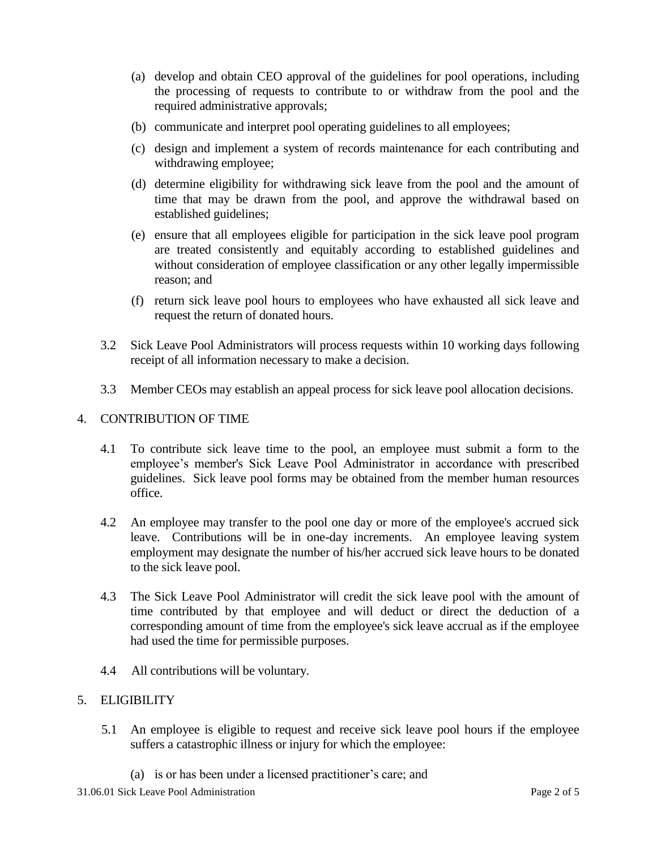- (a) develop and obtain CEO approval of the guidelines for pool operations, including the processing of requests to contribute to or withdraw from the pool and the required administrative approvals;
- (b) communicate and interpret pool operating guidelines to all employees;
- (c) design and implement a system of records maintenance for each contributing and withdrawing employee;
- (d) determine eligibility for withdrawing sick leave from the pool and the amount of time that may be drawn from the pool, and approve the withdrawal based on established guidelines;
- (e) ensure that all employees eligible for participation in the sick leave pool program are treated consistently and equitably according to established guidelines and without consideration of employee classification or any other legally impermissible reason; and
- (f) return sick leave pool hours to employees who have exhausted all sick leave and request the return of donated hours.
- 3.2 Sick Leave Pool Administrators will process requests within 10 working days following receipt of all information necessary to make a decision.
- 3.3 Member CEOs may establish an appeal process for sick leave pool allocation decisions.

#### 4. CONTRIBUTION OF TIME

- 4.1 To contribute sick leave time to the pool, an employee must submit a form to the employee's member's Sick Leave Pool Administrator in accordance with prescribed guidelines. Sick leave pool forms may be obtained from the member human resources office.
- 4.2 An employee may transfer to the pool one day or more of the employee's accrued sick leave. Contributions will be in one-day increments. An employee leaving system employment may designate the number of his/her accrued sick leave hours to be donated to the sick leave pool.
- 4.3 The Sick Leave Pool Administrator will credit the sick leave pool with the amount of time contributed by that employee and will deduct or direct the deduction of a corresponding amount of time from the employee's sick leave accrual as if the employee had used the time for permissible purposes.
- 4.4 All contributions will be voluntary.

#### 5. ELIGIBILITY

- 5.1 An employee is eligible to request and receive sick leave pool hours if the employee suffers a catastrophic illness or injury for which the employee:
	- (a) is or has been under a licensed practitioner's care; and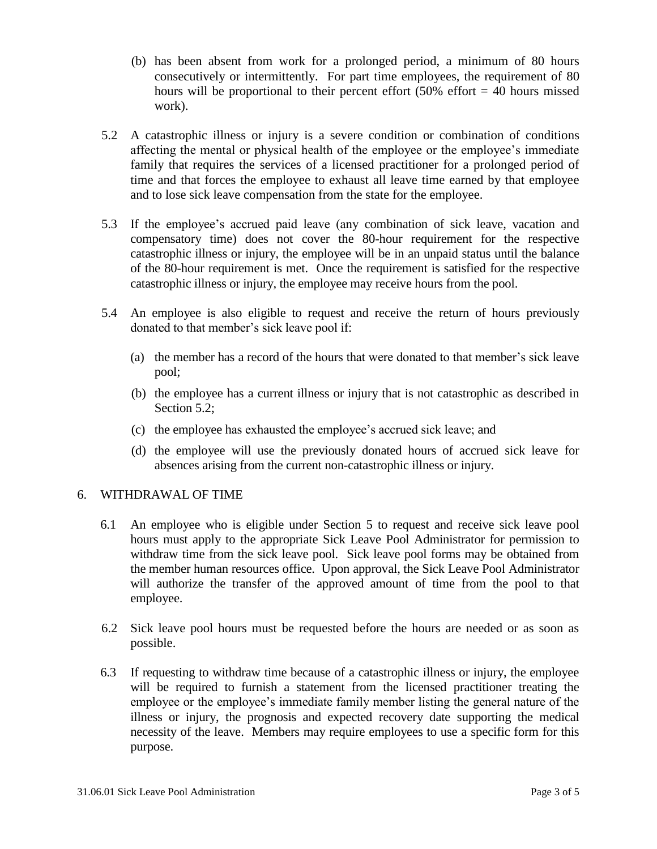- (b) has been absent from work for a prolonged period, a minimum of 80 hours consecutively or intermittently. For part time employees, the requirement of 80 hours will be proportional to their percent effort  $(50\% \text{ effort} = 40 \text{ hours missed})$ work).
- 5.2 A catastrophic illness or injury is a severe condition or combination of conditions affecting the mental or physical health of the employee or the employee's immediate family that requires the services of a licensed practitioner for a prolonged period of time and that forces the employee to exhaust all leave time earned by that employee and to lose sick leave compensation from the state for the employee.
- 5.3 If the employee's accrued paid leave (any combination of sick leave, vacation and compensatory time) does not cover the 80-hour requirement for the respective catastrophic illness or injury, the employee will be in an unpaid status until the balance of the 80-hour requirement is met. Once the requirement is satisfied for the respective catastrophic illness or injury, the employee may receive hours from the pool.
- 5.4 An employee is also eligible to request and receive the return of hours previously donated to that member's sick leave pool if:
	- (a) the member has a record of the hours that were donated to that member's sick leave pool;
	- (b) the employee has a current illness or injury that is not catastrophic as described in Section 5.2:
	- (c) the employee has exhausted the employee's accrued sick leave; and
	- (d) the employee will use the previously donated hours of accrued sick leave for absences arising from the current non-catastrophic illness or injury.

#### 6. WITHDRAWAL OF TIME

- 6.1 An employee who is eligible under Section 5 to request and receive sick leave pool hours must apply to the appropriate Sick Leave Pool Administrator for permission to withdraw time from the sick leave pool. Sick leave pool forms may be obtained from the member human resources office. Upon approval, the Sick Leave Pool Administrator will authorize the transfer of the approved amount of time from the pool to that employee.
- 6.2 Sick leave pool hours must be requested before the hours are needed or as soon as possible.
- 6.3 If requesting to withdraw time because of a catastrophic illness or injury, the employee will be required to furnish a statement from the licensed practitioner treating the employee or the employee's immediate family member listing the general nature of the illness or injury, the prognosis and expected recovery date supporting the medical necessity of the leave. Members may require employees to use a specific form for this purpose.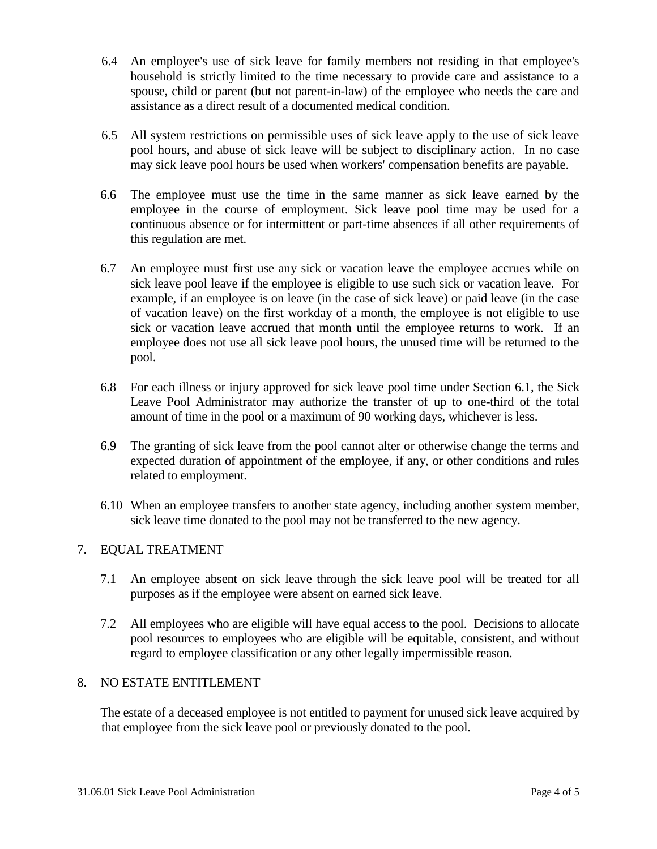- 6.4 An employee's use of sick leave for family members not residing in that employee's household is strictly limited to the time necessary to provide care and assistance to a spouse, child or parent (but not parent-in-law) of the employee who needs the care and assistance as a direct result of a documented medical condition.
- 6.5 All system restrictions on permissible uses of sick leave apply to the use of sick leave pool hours, and abuse of sick leave will be subject to disciplinary action. In no case may sick leave pool hours be used when workers' compensation benefits are payable.
- 6.6 The employee must use the time in the same manner as sick leave earned by the employee in the course of employment. Sick leave pool time may be used for a continuous absence or for intermittent or part-time absences if all other requirements of this regulation are met.
- 6.7 An employee must first use any sick or vacation leave the employee accrues while on sick leave pool leave if the employee is eligible to use such sick or vacation leave. For example, if an employee is on leave (in the case of sick leave) or paid leave (in the case of vacation leave) on the first workday of a month, the employee is not eligible to use sick or vacation leave accrued that month until the employee returns to work. If an employee does not use all sick leave pool hours, the unused time will be returned to the pool.
- 6.8 For each illness or injury approved for sick leave pool time under Section 6.1, the Sick Leave Pool Administrator may authorize the transfer of up to one-third of the total amount of time in the pool or a maximum of 90 working days, whichever is less.
- 6.9 The granting of sick leave from the pool cannot alter or otherwise change the terms and expected duration of appointment of the employee, if any, or other conditions and rules related to employment.
- 6.10 When an employee transfers to another state agency, including another system member, sick leave time donated to the pool may not be transferred to the new agency.

#### 7. EQUAL TREATMENT

- 7.1 An employee absent on sick leave through the sick leave pool will be treated for all purposes as if the employee were absent on earned sick leave.
- 7.2 All employees who are eligible will have equal access to the pool. Decisions to allocate pool resources to employees who are eligible will be equitable, consistent, and without regard to employee classification or any other legally impermissible reason.

#### 8. NO ESTATE ENTITLEMENT

The estate of a deceased employee is not entitled to payment for unused sick leave acquired by that employee from the sick leave pool or previously donated to the pool.